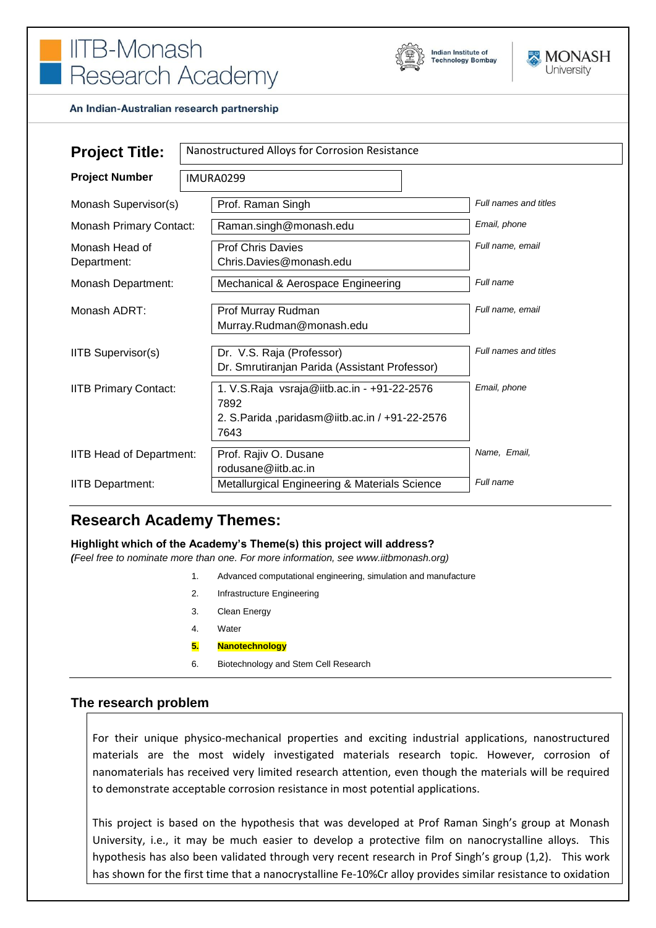# **IITB-Monash** Research Academy





#### An Indian-Australian research partnership

| <b>Project Title:</b>          | Nanostructured Alloys for Corrosion Resistance                                                                 |                       |
|--------------------------------|----------------------------------------------------------------------------------------------------------------|-----------------------|
| <b>Project Number</b>          | IMURA0299                                                                                                      |                       |
| Monash Supervisor(s)           | Prof. Raman Singh                                                                                              | Full names and titles |
| <b>Monash Primary Contact:</b> | Raman.singh@monash.edu                                                                                         | Email, phone          |
| Monash Head of<br>Department:  | <b>Prof Chris Davies</b><br>Chris.Davies@monash.edu                                                            | Full name, email      |
| Monash Department:             | Mechanical & Aerospace Engineering                                                                             | Full name             |
| Monash ADRT:                   | Prof Murray Rudman<br>Murray.Rudman@monash.edu                                                                 | Full name, email      |
| <b>IITB Supervisor(s)</b>      | Dr. V.S. Raja (Professor)<br>Dr. Smrutiranjan Parida (Assistant Professor)                                     | Full names and titles |
| <b>IITB Primary Contact:</b>   | 1. V.S.Raja vsraja@iitb.ac.in - +91-22-2576<br>7892<br>2. S. Parida, paridasm@iitb.ac.in / +91-22-2576<br>7643 | Email, phone          |
| IITB Head of Department:       | Prof. Rajiv O. Dusane<br>rodusane@iitb.ac.in                                                                   | Name, Email,          |
| <b>IITB Department:</b>        | Metallurgical Engineering & Materials Science                                                                  | Full name             |

# **Research Academy Themes:**

#### **Highlight which of the Academy's Theme(s) this project will address?**

*(Feel free to nominate more than one. For more information, see www.iitbmonash.org)*

- 1. Advanced computational engineering, simulation and manufacture
- 2. Infrastructure Engineering
- 3. Clean Energy
- 4. Water
- **5. Nanotechnology**
- 6. Biotechnology and Stem Cell Research

#### **The research problem**

For their unique physico-mechanical properties and exciting industrial applications, nanostructured materials are the most widely investigated materials research topic. However, corrosion of nanomaterials has received very limited research attention, even though the materials will be required to demonstrate acceptable corrosion resistance in most potential applications.

This project is based on the hypothesis that was developed at Prof Raman Singh's group at Monash University, i.e., it may be much easier to develop a protective film on nanocrystalline alloys. This hypothesis has also been validated through very recent research in Prof Singh's group (1,2). This work has shown for the first time that a nanocrystalline Fe-10%Cr alloy provides similar resistance to oxidation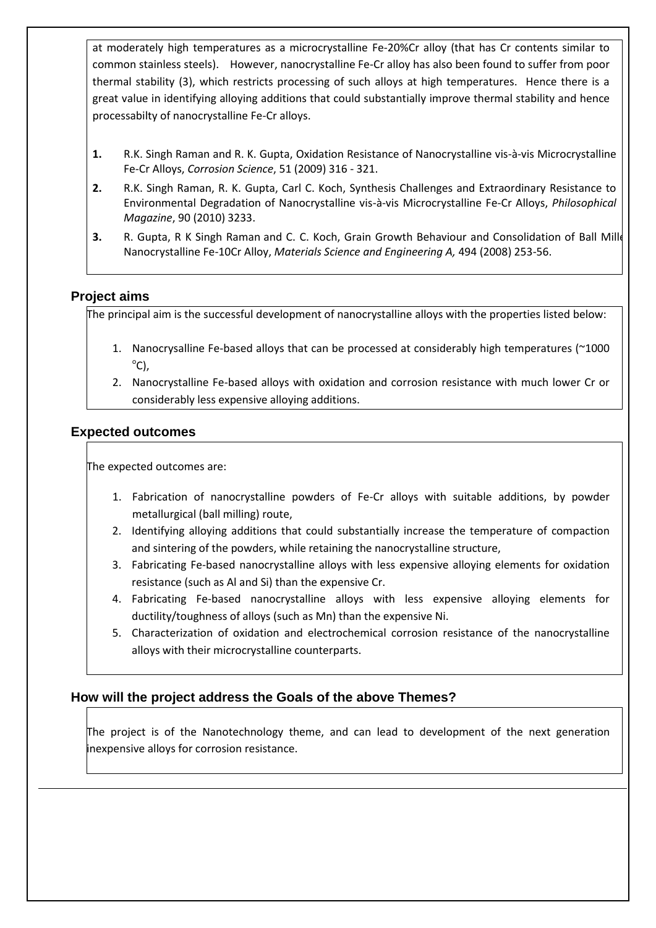at moderately high temperatures as a microcrystalline Fe-20%Cr alloy (that has Cr contents similar to common stainless steels). However, nanocrystalline Fe-Cr alloy has also been found to suffer from poor thermal stability (3), which restricts processing of such alloys at high temperatures. Hence there is a great value in identifying alloying additions that could substantially improve thermal stability and hence processabilty of nanocrystalline Fe-Cr alloys.

- **1.** R.K. Singh Raman and R. K. Gupta, Oxidation Resistance of Nanocrystalline vis-à-vis Microcrystalline Fe-Cr Alloys, *Corrosion Science*, 51 (2009) 316 - 321.
- **2.** R.K. Singh Raman, R. K. Gupta, Carl C. Koch, Synthesis Challenges and Extraordinary Resistance to Environmental Degradation of Nanocrystalline vis-à-vis Microcrystalline Fe-Cr Alloys, *Philosophical Magazine*, 90 (2010) 3233.
- **3.** R. Gupta, R K Singh Raman and C. C. Koch, Grain Growth Behaviour and Consolidation of Ball Mille Nanocrystalline Fe-10Cr Alloy, *Materials Science and Engineering A,* 494 (2008) 253-56.

# **Project aims**

The principal aim is the successful development of nanocrystalline alloys with the properties listed below:

- 1. Nanocrysalline Fe-based alloys that can be processed at considerably high temperatures (~1000  $^{\circ}$ C),
- 2. Nanocrystalline Fe-based alloys with oxidation and corrosion resistance with much lower Cr or considerably less expensive alloying additions.

### **Expected outcomes**

The expected outcomes are:

- 1. Fabrication of nanocrystalline powders of Fe-Cr alloys with suitable additions, by powder metallurgical (ball milling) route,
- 2. Identifying alloying additions that could substantially increase the temperature of compaction and sintering of the powders, while retaining the nanocrystalline structure,
- 3. Fabricating Fe-based nanocrystalline alloys with less expensive alloying elements for oxidation resistance (such as Al and Si) than the expensive Cr.
- 4. Fabricating Fe-based nanocrystalline alloys with less expensive alloying elements for ductility/toughness of alloys (such as Mn) than the expensive Ni.
- 5. Characterization of oxidation and electrochemical corrosion resistance of the nanocrystalline alloys with their microcrystalline counterparts.

# **How will the project address the Goals of the above Themes?**

The project is of the Nanotechnology theme, and can lead to development of the next generation inexpensive alloys for corrosion resistance.